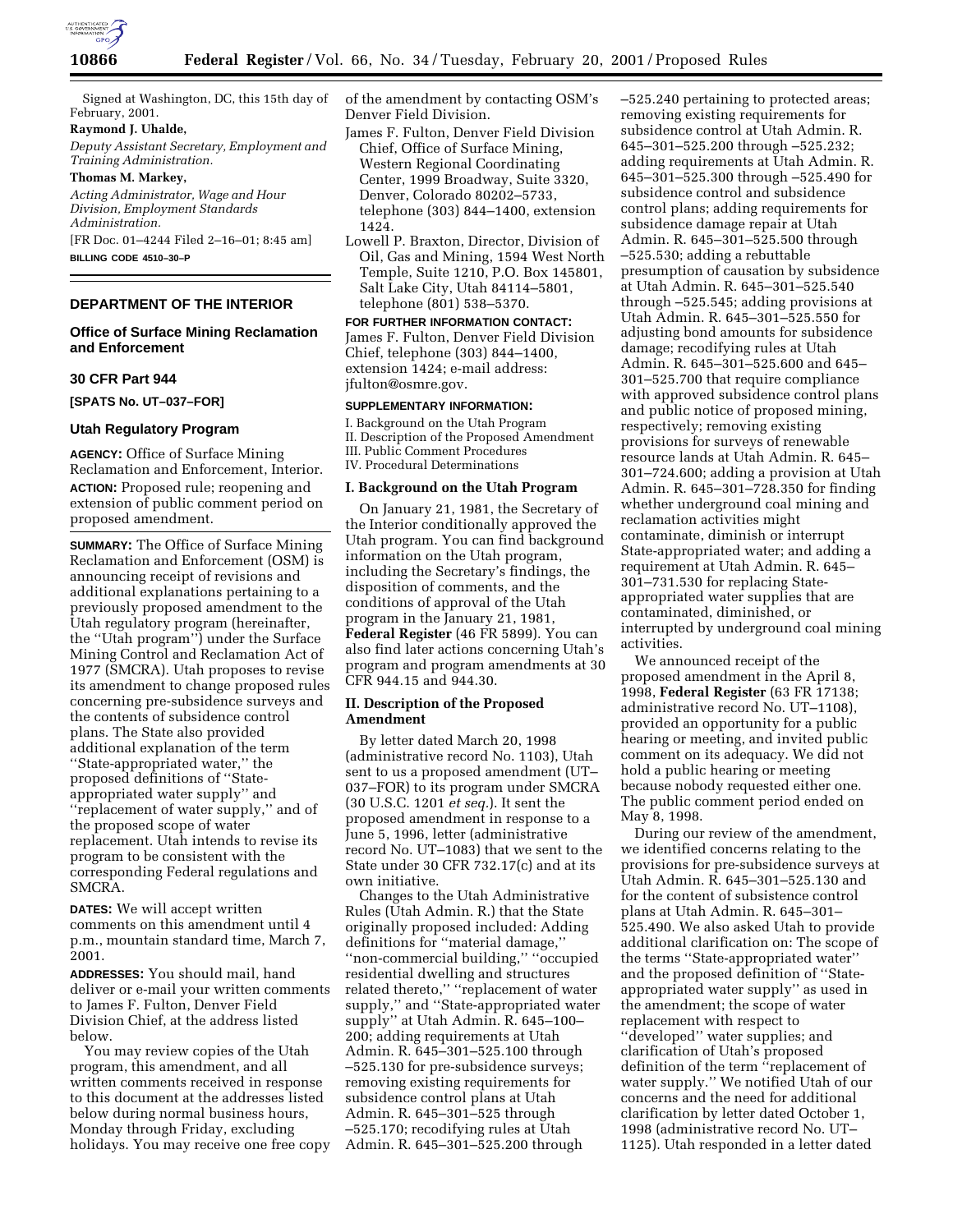

Signed at Washington, DC, this 15th day of February, 2001.

### **Raymond J. Uhalde,**

*Deputy Assistant Secretary, Employment and Training Administration.*

# **Thomas M. Markey,**

*Acting Administrator, Wage and Hour Division, Employment Standards Administration.* [FR Doc. 01–4244 Filed 2–16–01; 8:45 am]

**BILLING CODE 4510–30–P**

## **DEPARTMENT OF THE INTERIOR**

# **Office of Surface Mining Reclamation and Enforcement**

# **30 CFR Part 944**

**[SPATS No. UT–037–FOR]**

#### **Utah Regulatory Program**

**AGENCY:** Office of Surface Mining Reclamation and Enforcement, Interior. **ACTION:** Proposed rule; reopening and extension of public comment period on proposed amendment.

**SUMMARY:** The Office of Surface Mining Reclamation and Enforcement (OSM) is announcing receipt of revisions and additional explanations pertaining to a previously proposed amendment to the Utah regulatory program (hereinafter, the ''Utah program'') under the Surface Mining Control and Reclamation Act of 1977 (SMCRA). Utah proposes to revise its amendment to change proposed rules concerning pre-subsidence surveys and the contents of subsidence control plans. The State also provided additional explanation of the term ''State-appropriated water,'' the proposed definitions of ''Stateappropriated water supply'' and ''replacement of water supply,'' and of the proposed scope of water replacement. Utah intends to revise its program to be consistent with the corresponding Federal regulations and SMCRA.

**DATES:** We will accept written comments on this amendment until 4 p.m., mountain standard time, March 7, 2001.

**ADDRESSES:** You should mail, hand deliver or e-mail your written comments to James F. Fulton, Denver Field Division Chief, at the address listed below.

You may review copies of the Utah program, this amendment, and all written comments received in response to this document at the addresses listed below during normal business hours, Monday through Friday, excluding holidays. You may receive one free copy of the amendment by contacting OSM's Denver Field Division.

- James F. Fulton, Denver Field Division Chief, Office of Surface Mining, Western Regional Coordinating Center, 1999 Broadway, Suite 3320, Denver, Colorado 80202–5733, telephone (303) 844–1400, extension 1424.
- Lowell P. Braxton, Director, Division of Oil, Gas and Mining, 1594 West North Temple, Suite 1210, P.O. Box 145801, Salt Lake City, Utah 84114–5801, telephone (801) 538–5370.

**FOR FURTHER INFORMATION CONTACT:** James F. Fulton, Denver Field Division Chief, telephone (303) 844–1400, extension 1424; e-mail address: jfulton@osmre.gov.

# **SUPPLEMENTARY INFORMATION:**

I. Background on the Utah Program II. Description of the Proposed Amendment III. Public Comment Procedures IV. Procedural Determinations

### **I. Background on the Utah Program**

On January 21, 1981, the Secretary of the Interior conditionally approved the Utah program. You can find background information on the Utah program, including the Secretary's findings, the disposition of comments, and the conditions of approval of the Utah program in the January 21, 1981, **Federal Register** (46 FR 5899). You can also find later actions concerning Utah's program and program amendments at 30 CFR 944.15 and 944.30.

# **II. Description of the Proposed Amendment**

By letter dated March 20, 1998 (administrative record No. 1103), Utah sent to us a proposed amendment (UT– 037–FOR) to its program under SMCRA (30 U.S.C. 1201 *et seq.*). It sent the proposed amendment in response to a June 5, 1996, letter (administrative record No. UT–1083) that we sent to the State under 30 CFR 732.17(c) and at its own initiative.

Changes to the Utah Administrative Rules (Utah Admin. R.) that the State originally proposed included: Adding definitions for ''material damage,'' ''non-commercial building,'' ''occupied residential dwelling and structures related thereto,'' ''replacement of water supply,'' and ''State-appropriated water supply'' at Utah Admin. R. 645–100– 200; adding requirements at Utah Admin. R. 645–301–525.100 through –525.130 for pre-subsidence surveys; removing existing requirements for subsidence control plans at Utah Admin. R. 645–301–525 through –525.170; recodifying rules at Utah Admin. R. 645–301–525.200 through

–525.240 pertaining to protected areas; removing existing requirements for subsidence control at Utah Admin. R. 645–301–525.200 through –525.232; adding requirements at Utah Admin. R. 645–301–525.300 through –525.490 for subsidence control and subsidence control plans; adding requirements for subsidence damage repair at Utah Admin. R. 645–301–525.500 through –525.530; adding a rebuttable presumption of causation by subsidence at Utah Admin. R. 645–301–525.540 through –525.545; adding provisions at Utah Admin. R. 645–301–525.550 for adjusting bond amounts for subsidence damage; recodifying rules at Utah Admin. R. 645–301–525.600 and 645– 301–525.700 that require compliance with approved subsidence control plans and public notice of proposed mining, respectively; removing existing provisions for surveys of renewable resource lands at Utah Admin. R. 645– 301–724.600; adding a provision at Utah Admin. R. 645–301–728.350 for finding whether underground coal mining and reclamation activities might contaminate, diminish or interrupt State-appropriated water; and adding a requirement at Utah Admin. R. 645– 301–731.530 for replacing Stateappropriated water supplies that are contaminated, diminished, or interrupted by underground coal mining activities.

We announced receipt of the proposed amendment in the April 8, 1998, **Federal Register** (63 FR 17138; administrative record No. UT–1108), provided an opportunity for a public hearing or meeting, and invited public comment on its adequacy. We did not hold a public hearing or meeting because nobody requested either one. The public comment period ended on May 8, 1998.

During our review of the amendment, we identified concerns relating to the provisions for pre-subsidence surveys at Utah Admin. R. 645–301–525.130 and for the content of subsistence control plans at Utah Admin. R. 645–301– 525.490. We also asked Utah to provide additional clarification on: The scope of the terms ''State-appropriated water'' and the proposed definition of ''Stateappropriated water supply'' as used in the amendment; the scope of water replacement with respect to ''developed'' water supplies; and clarification of Utah's proposed definition of the term ''replacement of water supply.'' We notified Utah of our concerns and the need for additional clarification by letter dated October 1, 1998 (administrative record No. UT– 1125). Utah responded in a letter dated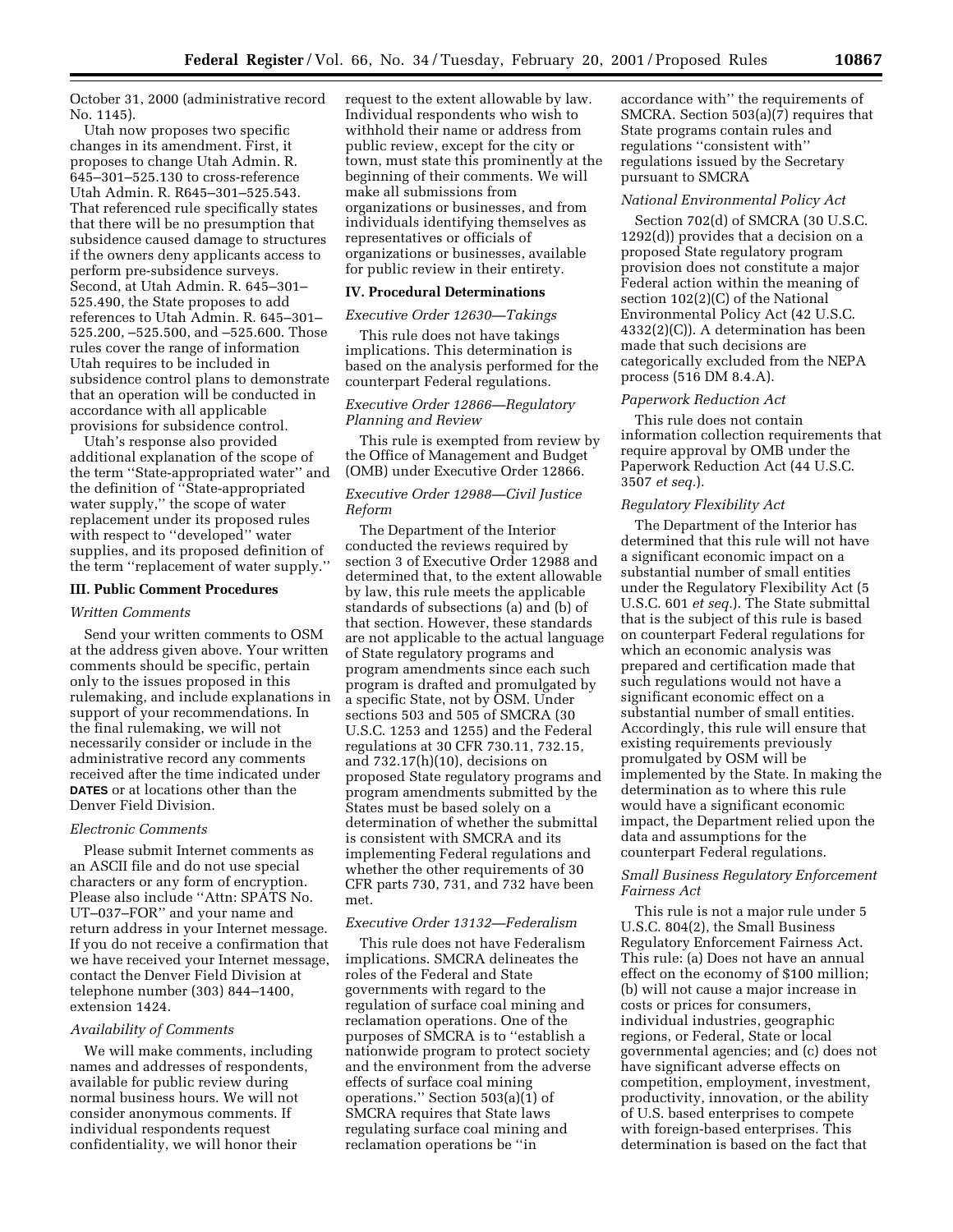October 31, 2000 (administrative record No. 1145).

Utah now proposes two specific changes in its amendment. First, it proposes to change Utah Admin. R. 645–301–525.130 to cross-reference Utah Admin. R. R645–301–525.543. That referenced rule specifically states that there will be no presumption that subsidence caused damage to structures if the owners deny applicants access to perform pre-subsidence surveys. Second, at Utah Admin. R. 645–301– 525.490, the State proposes to add references to Utah Admin. R. 645–301– 525.200, –525.500, and –525.600. Those rules cover the range of information Utah requires to be included in subsidence control plans to demonstrate that an operation will be conducted in accordance with all applicable provisions for subsidence control.

Utah's response also provided additional explanation of the scope of the term ''State-appropriated water'' and the definition of ''State-appropriated water supply,'' the scope of water replacement under its proposed rules with respect to ''developed'' water supplies, and its proposed definition of the term ''replacement of water supply.''

#### **III. Public Comment Procedures**

### *Written Comments*

Send your written comments to OSM at the address given above. Your written comments should be specific, pertain only to the issues proposed in this rulemaking, and include explanations in support of your recommendations. In the final rulemaking, we will not necessarily consider or include in the administrative record any comments received after the time indicated under **DATES** or at locations other than the Denver Field Division.

# *Electronic Comments*

Please submit Internet comments as an ASCII file and do not use special characters or any form of encryption. Please also include ''Attn: SPATS No. UT–037–FOR'' and your name and return address in your Internet message. If you do not receive a confirmation that we have received your Internet message, contact the Denver Field Division at telephone number (303) 844–1400, extension 1424.

### *Availability of Comments*

We will make comments, including names and addresses of respondents, available for public review during normal business hours. We will not consider anonymous comments. If individual respondents request confidentiality, we will honor their

request to the extent allowable by law. Individual respondents who wish to withhold their name or address from public review, except for the city or town, must state this prominently at the beginning of their comments. We will make all submissions from organizations or businesses, and from individuals identifying themselves as representatives or officials of organizations or businesses, available for public review in their entirety.

## **IV. Procedural Determinations**

### *Executive Order 12630—Takings*

This rule does not have takings implications. This determination is based on the analysis performed for the counterpart Federal regulations.

# *Executive Order 12866—Regulatory Planning and Review*

This rule is exempted from review by the Office of Management and Budget (OMB) under Executive Order 12866.

## *Executive Order 12988—Civil Justice Reform*

The Department of the Interior conducted the reviews required by section 3 of Executive Order 12988 and determined that, to the extent allowable by law, this rule meets the applicable standards of subsections (a) and (b) of that section. However, these standards are not applicable to the actual language of State regulatory programs and program amendments since each such program is drafted and promulgated by a specific State, not by OSM. Under sections 503 and 505 of SMCRA (30 U.S.C. 1253 and 1255) and the Federal regulations at 30 CFR 730.11, 732.15, and 732.17(h)(10), decisions on proposed State regulatory programs and program amendments submitted by the States must be based solely on a determination of whether the submittal is consistent with SMCRA and its implementing Federal regulations and whether the other requirements of 30 CFR parts 730, 731, and 732 have been met.

#### *Executive Order 13132—Federalism*

This rule does not have Federalism implications. SMCRA delineates the roles of the Federal and State governments with regard to the regulation of surface coal mining and reclamation operations. One of the purposes of SMCRA is to ''establish a nationwide program to protect society and the environment from the adverse effects of surface coal mining operations." Section  $503(a)(1)$  of SMCRA requires that State laws regulating surface coal mining and reclamation operations be ''in

accordance with'' the requirements of SMCRA. Section 503(a)(7) requires that State programs contain rules and regulations ''consistent with'' regulations issued by the Secretary pursuant to SMCRA

#### *National Environmental Policy Act*

Section 702(d) of SMCRA (30 U.S.C. 1292(d)) provides that a decision on a proposed State regulatory program provision does not constitute a major Federal action within the meaning of section 102(2)(C) of the National Environmental Policy Act (42 U.S.C. 4332(2)(C)). A determination has been made that such decisions are categorically excluded from the NEPA process (516 DM 8.4.A).

### *Paperwork Reduction Act*

This rule does not contain information collection requirements that require approval by OMB under the Paperwork Reduction Act (44 U.S.C. 3507 *et seq.*).

### *Regulatory Flexibility Act*

The Department of the Interior has determined that this rule will not have a significant economic impact on a substantial number of small entities under the Regulatory Flexibility Act (5 U.S.C. 601 *et seq.*). The State submittal that is the subject of this rule is based on counterpart Federal regulations for which an economic analysis was prepared and certification made that such regulations would not have a significant economic effect on a substantial number of small entities. Accordingly, this rule will ensure that existing requirements previously promulgated by OSM will be implemented by the State. In making the determination as to where this rule would have a significant economic impact, the Department relied upon the data and assumptions for the counterpart Federal regulations.

## *Small Business Regulatory Enforcement Fairness Act*

This rule is not a major rule under 5 U.S.C. 804(2), the Small Business Regulatory Enforcement Fairness Act. This rule: (a) Does not have an annual effect on the economy of \$100 million; (b) will not cause a major increase in costs or prices for consumers, individual industries, geographic regions, or Federal, State or local governmental agencies; and (c) does not have significant adverse effects on competition, employment, investment, productivity, innovation, or the ability of U.S. based enterprises to compete with foreign-based enterprises. This determination is based on the fact that